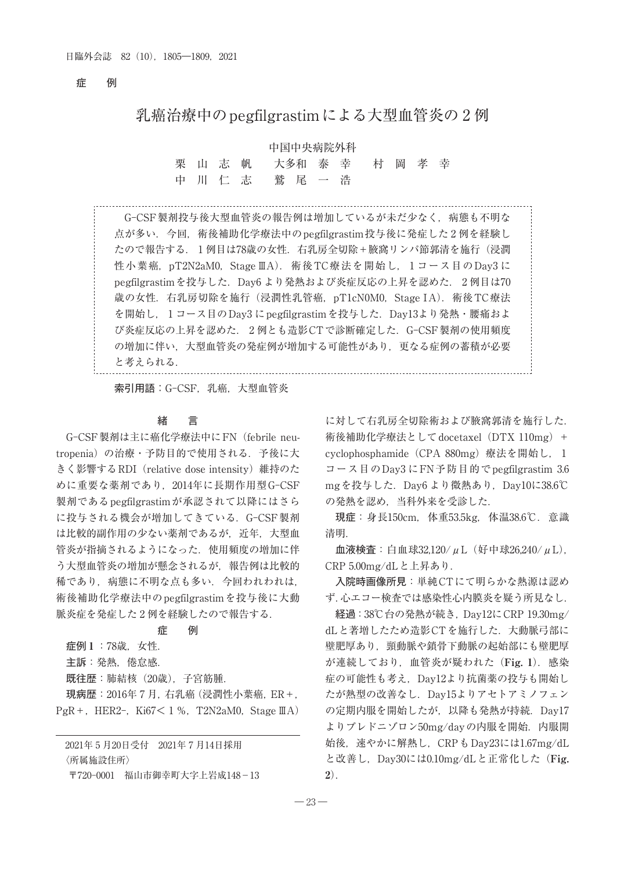# 症 例

# 乳癌治療中のpegfilgrastimによる大型血管炎の 2 例

## 中国中央病院外科

栗 山 志 帆 大多和 泰 幸 村 岡 孝 幸 中 川 仁 志 鷲 尾 一 浩

 G-CSF製剤投与後大型血管炎の報告例は増加しているが未だ少なく,病態も不明な 点が多い.今回,術後補助化学療法中のpegfilgrastim投与後に発症した 2 例を経験し たので報告する. 1例目は78歳の女性. 右乳房全切除+腋窩リンパ節郭清を施行(浸潤 性小葉癌, pT2N2aM0, Stage ⅢA). 術後TC療法を開始し, 1 コース目のDay3 に pegfilgrastimを投与した. Day6 より発熱および炎症反応の上昇を認めた. 2 例目は70 歳の女性. 右乳房切除を施行(浸潤性乳管癌, pT1cN0M0, Stage IA). 術後 TC療法 を開始し, 1 コース目のDay3 にpegfilgrastimを投与した.Day13より発熱・腰痛およ び炎症反応の上昇を認めた. 2 例とも造影CTで診断確定した.G-CSF製剤の使用頻度 の増加に伴い,大型血管炎の発症例が増加する可能性があり,更なる症例の蓄積が必要 と考えられる.

索引用語:G-CSF,乳癌,大型血管炎

#### 緒 言

 G-CSF製剤は主に癌化学療法中にFN(febrile neutropenia)の治療・予防目的で使用される.予後に大 きく影響するRDI(relative dose intensity)維持のた めに重要な薬剤であり、2014年に長期作用型G-CSF 製剤であるpegfilgrastimが承認されて以降にはさら に投与される機会が増加してきている.G-CSF製剤 は比較的副作用の少ない薬剤であるが,近年,大型血 管炎が指摘されるようになった.使用頻度の増加に伴 う大型血管炎の増加が懸念されるが、報告例は比較的 稀であり,病態に不明な点も多い.今回われわれは, 術後補助化学療法中のpegfilgrastimを投与後に大動 脈炎症を発症した 2 例を経験したので報告する.

#### 症 例

症例 **1** :78歳,女性. 主訴:発熱,倦怠感. 既往歴:肺結核(20歳),子宮筋腫. 現病歴:2016年 7 月,右乳癌(浸潤性小葉癌,ER+,

2021年 5 月20日受付 2021年 7 月14日採用

PgR+, HER2-, Ki $67 < 1$  %, T2N2aM0, Stage IIA)

〈所属施設住所〉

〒720-0001 福山市御幸町大字上岩成148-13

に対して右乳房全切除術および腋窩郭清を施行した. 術後補助化学療法として docetaxel (DTX 110mg) + cyclophosphamide(CPA 880mg)療法を開始し, 1 コース目のDay3 にFN予防目的でpegfilgrastim 3.6 mgを投与した. Day6 より微熱あり, Day10に38.6℃ の発熱を認め,当科外来を受診した.

現症:身長150cm,体重53.5kg,体温38.6℃.意識 清明.

血液検査:白血球32,120/μL(好中球26,240/μL), CRP 5.00mg/dLと上昇あり.

入院時画像所見:単純CTにて明らかな熱源は認め ず.心エコー検査では感染性心内膜炎を疑う所見なし.

経過:38℃台の発熱が続き,Day12にCRP 19.30mg/ dLと著増したため造影CTを施行した.大動脈弓部に 壁肥厚あり,頸動脈や鎖骨下動脈の起始部にも壁肥厚 が連続しており,血管炎が疑われた(**Fig. 1**).感染 症の可能性も考え,Day12より抗菌薬の投与も開始し たが熱型の改善なし.Day15よりアセトアミノフェン の定期内服を開始したが、以降も発熱が持続. Day17 よりプレドニゾロン50mg/dayの内服を開始. 内服開 始後,速やかに解熱し,CRPもDay23には1.67mg/dL と改善し,Day30には0.10mg/dLと正常化した(**Fig. 2**).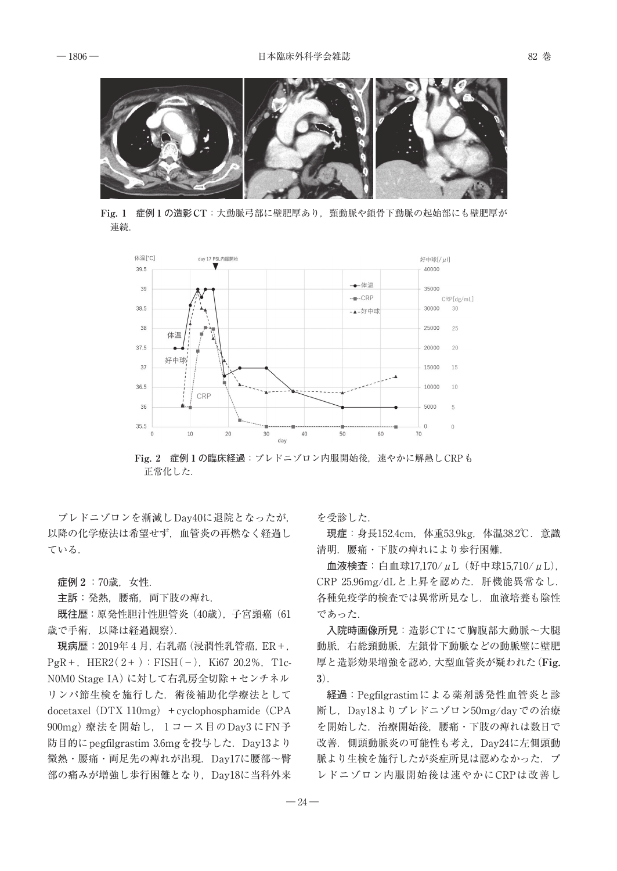

**Fig. 1** 症例**1**の造影**CT**:大動脈弓部に壁肥厚あり,頸動脈や鎖骨下動脈の起始部にも壁肥厚が 連続.



**Fig. 2** 症例**1**の臨床経過:プレドニゾロン内服開始後,速やかに解熱しCRPも 正常化した.

 プレドニゾロンを漸減しDay40に退院となったが, 以降の化学療法は希望せず,血管炎の再燃なく経過し ている.

症例 **2** :70歳,女性.

主訴:発熱,腰痛,両下肢の痺れ.

既往歴:原発性胆汁性胆管炎(40歳),子宮頸癌(61 歳で手術,以降は経過観察).

現病歴:2019年 4 月,右乳癌(浸潤性乳管癌,ER+,  $PgR +$ , HER2(2+): FISH(-), Ki67 20.2%, T1c-N0M0 Stage IA)に対して右乳房全切除+センチネル リンパ節生検を施行した. 術後補助化学療法として docetaxel  $(DTX 110mg)$  + cyclophosphamide  $(CPA)$ 900mg)療法を開始し, 1 コース目のDay3 にFN予 防目的にpegfilgrastim 3.6mgを投与した.Day13より 微熱・腰痛・両足先の痺れが出現.Day17に腰部~臀 部の痛みが増強し歩行困難となり,Day18に当科外来 を受診した.

現症:身長152.4cm,体重53.9kg,体温38.2℃.意識 清明.腰痛・下肢の痺れにより歩行困難.

血液検査:白血球17,170/μL(好中球15,710/μL), CRP 25.96mg/dLと上昇を認めた.肝機能異常なし. 各種免疫学的検査では異常所見なし.血液培養も陰性 であった.

入院時画像所見:造影CTにて胸腹部大動脈~大腿 動脈,右総頸動脈,左鎖骨下動脈などの動脈壁に壁肥 厚と造影効果増強を認め,大型血管炎が疑われた(**Fig. 3**).

経過:Pegfilgrastimによる薬剤誘発性血管炎と診 断し,Day18よりプレドニゾロン50mg/dayでの治療 を開始した.治療開始後,腰痛・下肢の痺れは数日で 改善. 側頭動脈炎の可能性も考え, Day24に左側頭動 脈より生検を施行したが炎症所見は認めなかった. プ レドニゾロン内服開始後は速やかにCRPは改善し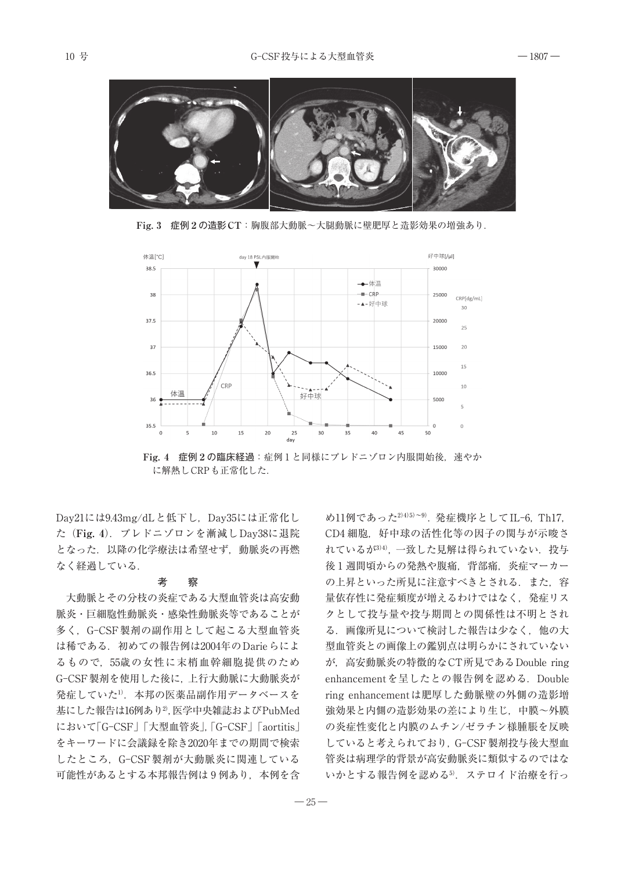

**Fig. 3** 症例**2**の造影**CT**:胸腹部大動脈~大腿動脈に壁肥厚と造影効果の増強あり.



**Fig. 4** 症例**2**の臨床経過:症例 1 と同様にプレドニゾロン内服開始後,速やか に解熱しCRPも正常化した.

Day21には9.43mg/dLと低下し,Day35には正常化し た(**Fig. 4**).プレドニゾロンを漸減しDay38に退院 となった.以降の化学療法は希望せず,動脈炎の再燃 なく経過している.

#### 考 察

 大動脈とその分枝の炎症である大型血管炎は高安動 脈炎・巨細胞性動脈炎・感染性動脈炎等であることが 多く,G-CSF製剤の副作用として起こる大型血管炎 は稀である. 初めての報告例は2004年のDarieらによ るもので,55歳の女性に末梢血幹細胞提供のため G-CSF製剤を使用した後に,上行大動脈に大動脈炎が 発症していた1). 本邦の医薬品副作用データベースを 基にした報告は16例あり2),医学中央雑誌およびPubMed において「G-CSF」「大型血管炎」,「G-CSF」「aortitis」 をキーワードに会議録を除き2020年までの期間で検索 したところ,G-CSF製剤が大動脈炎に関連している 可能性があるとする本邦報告例は9例あり、本例を含

め11例であった2)4)5)~9).発症機序としてIL-6,Th17, CD4 細胞, 好中球の活性化等の因子の関与が示唆さ れているが3)4). 一致した見解は得られていない. 投与 後 1 週間頃からの発熱や腹痛,背部痛,炎症マーカー の上昇といった所見に注意すべきとされる. また、容 量依存性に発症頻度が増えるわけではなく,発症リス クとして投与量や投与期間との関係性は不明とされ る.画像所見について検討した報告は少なく,他の大 型血管炎との画像上の鑑別点は明らかにされていない が,高安動脈炎の特徴的なCT所見であるDouble ring enhancementを呈したとの報告例を認める.Double ring enhancementは肥厚した動脈壁の外側の造影増 強効果と内側の造影効果の差により生じ,中膜~外膜 の炎症性変化と内膜のムチン/ゼラチン様腫脹を反映 していると考えられており,G-CSF製剤投与後大型血 管炎は病理学的背景が高安動脈炎に類似するのではな いかとする報告例を認める5).ステロイド治療を行っ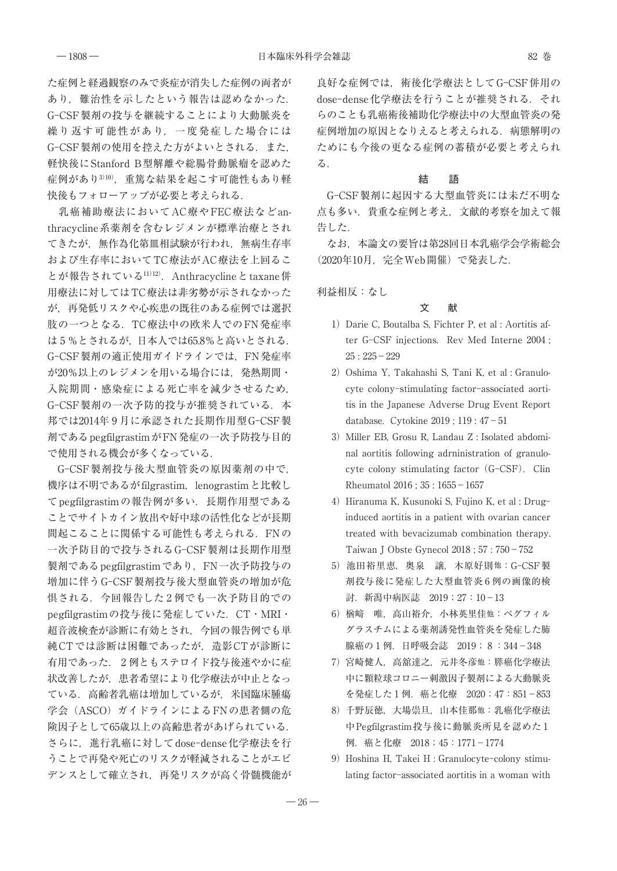た症例と経過観察のみで炎症が消失した症例の両者が あり,難治性を示したという報告は認めなかった. G-CSF製剤の投与を継続することにより大動脈炎を 繰り返す可能性があり,一度発症した場合には G-CSF 製剤の使用を控えた方がよいとされる. また, 軽快後にStanford B型解離や総腸骨動脈瘤を認めた 症例があり310), 重篤な結果を起こす可能性もあり軽 快後もフォローアップが必要と考えられる.

 乳癌補助療法においてAC療やFEC療法などanthracycline系薬剤を含むレジメンが標準治療とされ てきたが,無作為化第皿相試験が行われ,無病生存率 および生存率においてTC療法がAC療法を上回るこ とが報告されている11)12). Anthracyclineとtaxane併 用療法に対してはTC療法は非劣勢が示されなかった が,再発低リスクや心疾患の既往のある症例では選択 肢の一つとなる.TC療法中の欧米人でのFN発症率 は 5 %とされるが,日本人では65.8%と高いとされる. G-CSF 製剤の適正使用ガイドラインでは、FN発症率 が20%以上のレジメンを用いる場合には,発熱期間・ 入院期間・感染症による死亡率を減少させるため, G-CSF製剤の一次予防的投与が推奨されている. 本 邦では2014年 9 月に承認された長期作用型G-CSF製 剤であるpegfilgrastimがFN発症の一次予防投与目的 で使用される機会が多くなっている.

 G-CSF製剤投与後大型血管炎の原因薬剤の中で, 機序は不明であるがfilgrastim, lenograstimと比較し てpegfilgrastimの報告例が多い.長期作用型である ことでサイトカイン放出や好中球の活性化などが長期 間起こることに関係する可能性も考えられる. FNの 一次予防目的で投与されるG-CSF製剤は長期作用型 製剤であるpegfilgrastimであり、FN一次予防投与の 増加に伴うG-CSF製剤投与後大型血管炎の増加が危 惧される.今回報告した 2 例でも一次予防目的での pegfilgrastimの投与後に発症していた.CT・MRI・ 超音波検査が診断に有効とされ,今回の報告例でも単 純CTでは診断は困難であったが,造影CTが診断に 有用であった. 2 例ともステロイド投与後速やかに症 状改善したが,患者希望により化学療法が中止となっ ている.高齢者乳癌は増加しているが,米国臨床腫瘍 学会(ASCO)ガイドラインによるFNの患者側の危 険因子として65歳以上の高齢患者があげられている. さらに,進行乳癌に対してdose-dense化学療法を行 うことで再発や死亡のリスクが軽減されることがエビ デンスとして確立され,再発リスクが高く骨髄機能が

良好な症例では,術後化学療法としてG-CSF併用の dose-dense化学療法を行うことが推奨される.それ らのことも乳癌術後補助化学療法中の大型血管炎の発 症例増加の原因となりえると考えられる. 病態解明の ためにも今後の更なる症例の蓄積が必要と考えられ る.

# 結 語

 G-CSF製剤に起因する大型血管炎には未だ不明な 点も多い.貴重な症例と考え,文献的考察を加えて報 告した.

 なお,本論文の要旨は第28回日本乳癌学会学術総会 (2020年10月,完全Web開催)で発表した.

利益相反:なし

## 文 献

- 1) Darie C, Boutalba S, Fichter P, et al : Aortitis after G-CSF injections. Rev Med Interne 2004 ;  $25:225-229$
- 2) Oshima Y, Takahashi S, Tani K, et al : Granulocyte colony-stimulating factor-associated aortitis in the Japanese Adverse Drug Event Report database. Cytokine 2019 ; 119 : 47-51
- 3) Miller EB, Grosu R, Landau Z : Isolated abdominal aortitis following adrninistration of granulocyte colony stimulating factor (G-CSF). Clin Rheumatol 2016 ; 35 : 1655-1657
- 4) Hiranuma K, Kusunoki S, Fujino K, et al : Druginduced aortitis in a patient with ovarian cancer treated with bevacizumab combination therapy. Taiwan J Obste Gynecol 2018 ; 57 : 750-752
- 5) 池田裕里恵,奥泉 譲,木原好則他:G-CSF製 剤投与後に発症した大型血管炎 6 例の画像的検 討.新潟中病医誌 2019;27:10-13
- 6) 楢﨑 唯,高山裕介,小林英里佳他:ペグフィル グラスチムによる薬剤誘発性血管炎を発症した肺 腺癌の 1 例. 日呼吸会誌 2019; 8:344-348
- 7) 宮崎健人,高舘達之,元井冬彦他:膵癌化学療法 中に顆粒球コロニー刺激因子製剤による大動脈炎 を発症した 1 例.癌と化療 2020;47:851-853
- 8) 千野辰徳,大場崇旦,山本佳那他:乳癌化学療法 中Pegfilgrastim投与後に動脈炎所見を認めた 1 例.癌と化療 2018;45:1771-1774
- 9) Hoshina H, Takei H : Granulocyte-colony stimulating factor-associated aortitis in a woman with